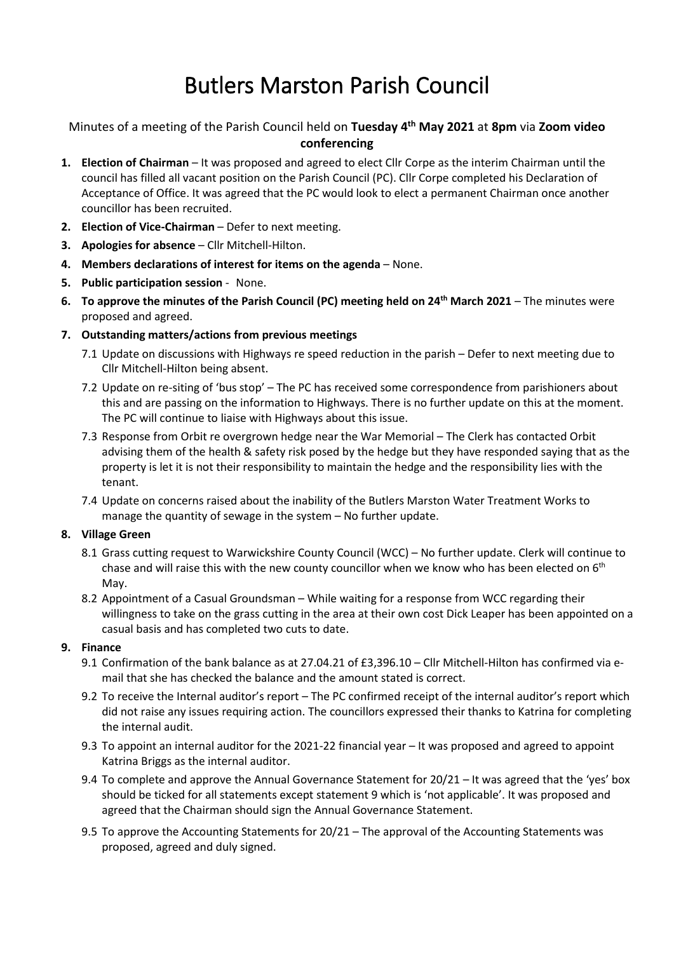# Butlers Marston Parish Council

## Minutes of a meeting of the Parish Council held on **Tuesday 4 th May 2021** at **8pm** via **Zoom video conferencing**

- **1. Election of Chairman** It was proposed and agreed to elect Cllr Corpe as the interim Chairman until the council has filled all vacant position on the Parish Council (PC). Cllr Corpe completed his Declaration of Acceptance of Office. It was agreed that the PC would look to elect a permanent Chairman once another councillor has been recruited.
- **2. Election of Vice-Chairman** Defer to next meeting.
- **3. Apologies for absence** Cllr Mitchell-Hilton.
- **4. Members declarations of interest for items on the agenda** None.
- **5. Public participation session** None.
- **6. To approve the minutes of the Parish Council (PC) meeting held on 24th March 2021** The minutes were proposed and agreed.
- **7. Outstanding matters/actions from previous meetings**
	- 7.1 Update on discussions with Highways re speed reduction in the parish Defer to next meeting due to Cllr Mitchell-Hilton being absent.
	- 7.2 Update on re-siting of 'bus stop' The PC has received some correspondence from parishioners about this and are passing on the information to Highways. There is no further update on this at the moment. The PC will continue to liaise with Highways about this issue.
	- 7.3 Response from Orbit re overgrown hedge near the War Memorial The Clerk has contacted Orbit advising them of the health & safety risk posed by the hedge but they have responded saying that as the property is let it is not their responsibility to maintain the hedge and the responsibility lies with the tenant.
	- 7.4 Update on concerns raised about the inability of the Butlers Marston Water Treatment Works to manage the quantity of sewage in the system – No further update.

#### **8. Village Green**

- 8.1 Grass cutting request to Warwickshire County Council (WCC) No further update. Clerk will continue to chase and will raise this with the new county councillor when we know who has been elected on  $6<sup>th</sup>$ May.
- 8.2 Appointment of a Casual Groundsman While waiting for a response from WCC regarding their willingness to take on the grass cutting in the area at their own cost Dick Leaper has been appointed on a casual basis and has completed two cuts to date.

#### **9. Finance**

- 9.1 Confirmation of the bank balance as at 27.04.21 of £3,396.10 Cllr Mitchell-Hilton has confirmed via email that she has checked the balance and the amount stated is correct.
- 9.2 To receive the Internal auditor's report The PC confirmed receipt of the internal auditor's report which did not raise any issues requiring action. The councillors expressed their thanks to Katrina for completing the internal audit.
- 9.3 To appoint an internal auditor for the 2021-22 financial year It was proposed and agreed to appoint Katrina Briggs as the internal auditor.
- 9.4 To complete and approve the Annual Governance Statement for 20/21 It was agreed that the 'yes' box should be ticked for all statements except statement 9 which is 'not applicable'. It was proposed and agreed that the Chairman should sign the Annual Governance Statement.
- 9.5 To approve the Accounting Statements for 20/21 The approval of the Accounting Statements was proposed, agreed and duly signed.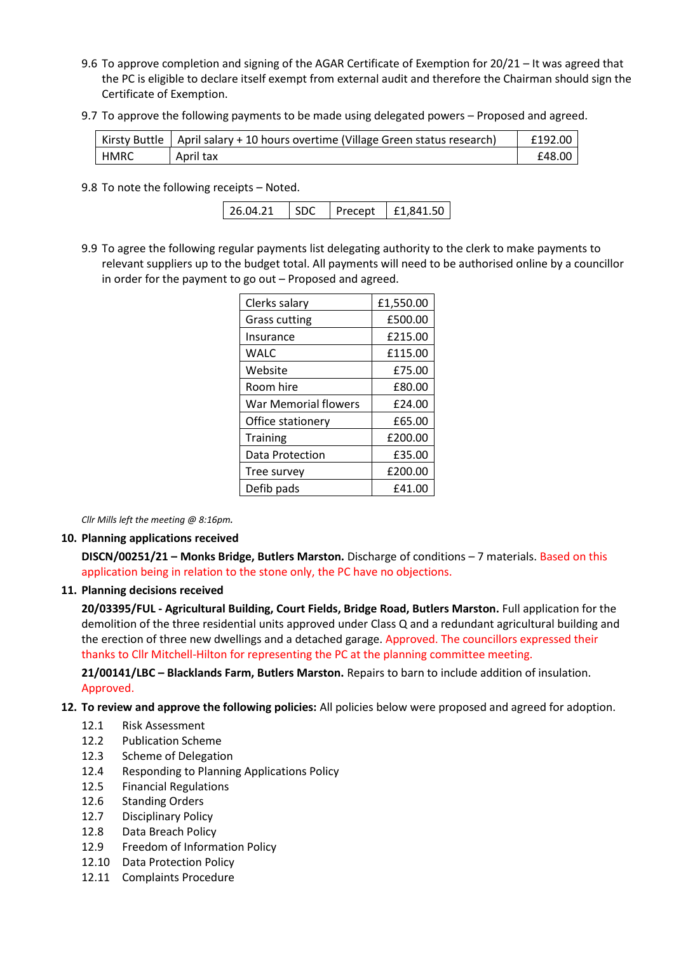- 9.6 To approve completion and signing of the AGAR Certificate of Exemption for 20/21 It was agreed that the PC is eligible to declare itself exempt from external audit and therefore the Chairman should sign the Certificate of Exemption.
- 9.7 To approve the following payments to be made using delegated powers Proposed and agreed.

|             | Kirsty Buttle   April salary + 10 hours overtime (Village Green status research) | £192.00 |
|-------------|----------------------------------------------------------------------------------|---------|
| <b>HMRC</b> | April tax                                                                        | £48.00  |

9.8 To note the following receipts – Noted.

| £1,841.50 |
|-----------|
|           |

9.9 To agree the following regular payments list delegating authority to the clerk to make payments to relevant suppliers up to the budget total. All payments will need to be authorised online by a councillor in order for the payment to go out – Proposed and agreed.

| Clerks salary        | £1,550.00 |
|----------------------|-----------|
| Grass cutting        | £500.00   |
| Insurance            | £215.00   |
| WALC                 | £115.00   |
| Website              | £75.00    |
| Room hire            | £80.00    |
| War Memorial flowers | £24.00    |
| Office stationery    | £65.00    |
| <b>Training</b>      | £200.00   |
| Data Protection      | £35.00    |
| Tree survey          | £200.00   |
| Defib pads           | £41.00    |

*Cllr Mills left the meeting @ 8:16pm.*

#### **10. Planning applications received**

**DISCN/00251/21 – Monks Bridge, Butlers Marston.** Discharge of conditions – 7 materials. Based on this application being in relation to the stone only, the PC have no objections.

#### **11. Planning decisions received**

**20/03395/FUL - Agricultural Building, Court Fields, Bridge Road, Butlers Marston.** Full application for the demolition of the three residential units approved under Class Q and a redundant agricultural building and the erection of three new dwellings and a detached garage. Approved. The councillors expressed their thanks to Cllr Mitchell-Hilton for representing the PC at the planning committee meeting.

**21/00141/LBC – Blacklands Farm, Butlers Marston.** Repairs to barn to include addition of insulation. Approved.

- **12. To review and approve the following policies:** All policies below were proposed and agreed for adoption.
	- 12.1 Risk Assessment
	- 12.2 Publication Scheme
	- 12.3 Scheme of Delegation
	- 12.4 Responding to Planning Applications Policy
	- 12.5 Financial Regulations
	- 12.6 Standing Orders
	- 12.7 Disciplinary Policy
	- 12.8 Data Breach Policy
	- 12.9 Freedom of Information Policy
	- 12.10 Data Protection Policy
	- 12.11 Complaints Procedure